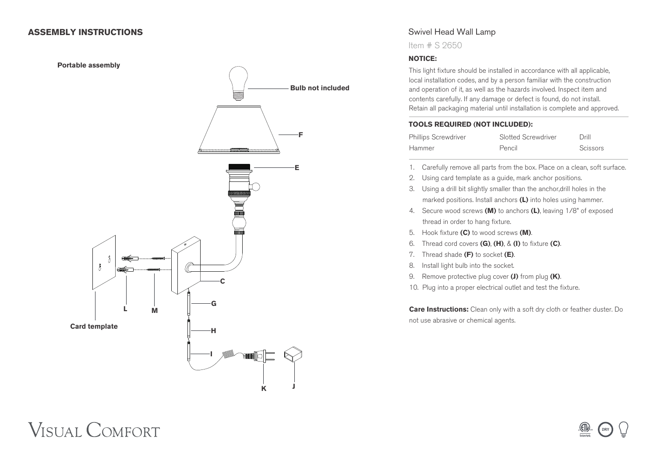### **ASSEMBLY INSTRUCTIONS**



## Swivel Head Wall Lamp

Item # S 2650

### **NOTICE:**

This light fixture should be installed in accordance with all applicable, local installation codes, and by a person familiar with the construction and operation of it, as well as the hazards involved. Inspect item and contents carefully. If any damage or defect is found, do not install. Retain all packaging material until installation is complete and approved.

### **TOOLS REQUIRED (NOT INCLUDED):**

| <b>Phillips Screwdriver</b> | Slotted Screwdriver | Drill    |
|-----------------------------|---------------------|----------|
| Hammer                      | Pencil              | Scissors |

- 1. Carefully remove all parts from the box. Place on a clean, soft surface.
- 2. Using card template as a guide, mark anchor positions.
- 3. Using a drill bit slightly smaller than the anchor,drill holes in the marked positions. Install anchors **(L)** into holes using hammer.
- 4. Secure wood screws **(M)** to anchors **(L)**, leaving 1/8" of exposed thread in order to hang fixture.
- 5. Hook fixture **(C)** to wood screws **(M)**.
- 6. Thread cord covers **(G)**, **(H)**, & **(I)** to fixture **(C)**.
- 7. Thread shade **(F)** to socket **(E)**.
- 8. Install light bulb into the socket.
- 9. Remove protective plug cover **(J)** from plug **(K)**.
- 10. Plug into a proper electrical outlet and test the fixture.

**Care Instructions:** Clean only with a soft dry cloth or feather duster. Do not use abrasive or chemical agents.

# **VISUAL COMFORT**